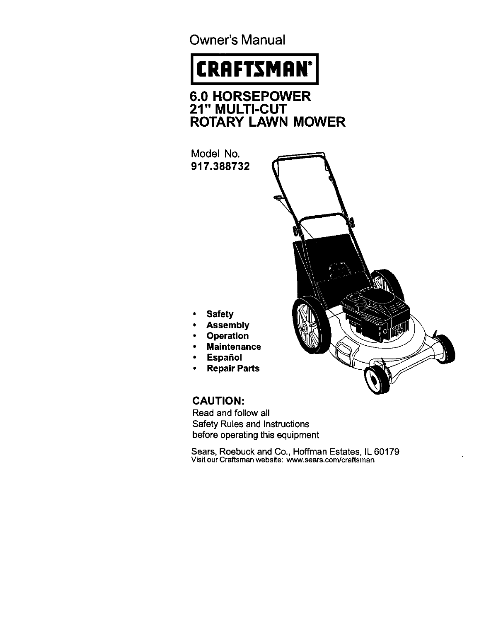Owner's Manual

# **CRAFTSMAN®**

**6.0 HORSEPOWE 21" MULTI-CU ROTARY LAWN MOWER**

**Model No. 917.388732**



**• Safety**

- **• Assembly**
- **Operation**
- **Maintenance**
- **Español**
- **Repair Parts**

## **CAUTION:**

**Read and follow all Safety Rules and Instructions before** operating this equipment

Sears, **Roebuck** and Co., **Hoffman** Estates, **IL** 60179 visit our Craftsman website: www.sears.com/craftsman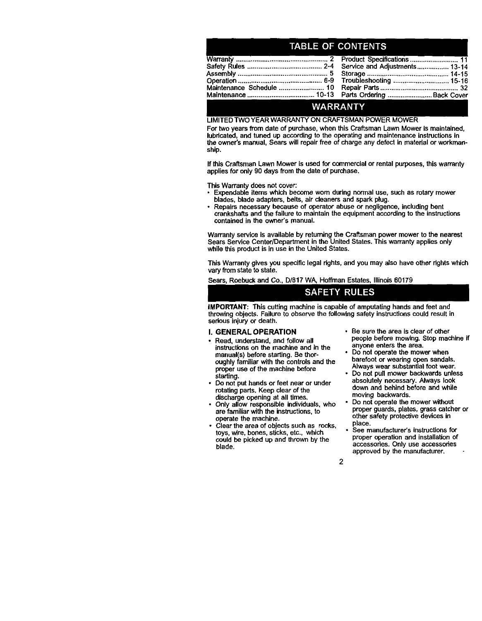## **TABLE OF CONTENTS**

### WARRANTY

#### **LIMITED TWO YEAR** WARRANTY ON CRAFTSMAN **POWER** MOWER

**For two years from date of purchase, when this Craftsman Lawn Mower is maintained, lubricated, and tuned up according to the operating and maintenance instructions in** the **owner's manual, Sears will repair free of charge any defect in malarial or workmanship.**

**If this Craftsman Lawn Mower is used for commercial or rental purposes, this warranty** applies for only 90 days from the date of purchase.

**This Warranty does not cover:**

- **• Expendable items which** become **worn during normal use, such as rotary mower blades, blade adapters, belts, air cleaners and spark plug.**
- **• Repairs necessary because of operator abuse or negligence, including bent crankshafts** and the **failure to maintain the equipment according to the instructions contained in the owner's manual.**

**Warranty service is available by returning**the **Craftsman power mower to the nearest Sears Service Center/Department in the United States. This warranty applies only while** this **productis in use in the United States.**

**This Warranty gives you specific legal dghts, and you may also have other rightswhich vary** from **state to state.**

**Sears, Roebuck and Co., D/817 WA, Hoffman Estates, Illinois 60179**

## **SAFETY RULES**

**IMPORTANT: This cutting machine is capable of amputating hands and** feet **and throwing objects. Failure to observe the** following **safety instructionscould resultin** serious injury or death.

#### **I. GENERAL OPERATION**

- **Read, understand, and** follow **all instructionson the machine and in the manual(s) before starting. Be** thor**oughly familiar with the controls and** the **proper use of** the **machine before starting.**
- **• Do not put hands or feet near or under rotating parts. Keep clear** of **the discharge opening** at **all times,**
- **• Only allow responsible individuals, who are familiar with the instructions,to operate the machine.**
- **Clear the area of obiects such as rocks, toys,** wire, **bones, sticks, etc., which could** be **picked up and thrown by the blade.**
- **Be sure the area is clear of other people before mowing. Stop machine if anyone enters the area.**
- **Do not operate** the **mower** when **barefoot or wearing open sandals. Always wear substantialfoot wear.**
- **Do not pull** mower **backwards unless absolutely necessary. Always look down and** behind **before** and **while moving backwards.**
- **Do not operate the mower without proper guards, plates, grass catcher or other safety protectivedevices in place.**
- **See** manufacturer's **instructionsfor proper operation and installationof accesseries. Only use accessories approved by the** manufacturer.

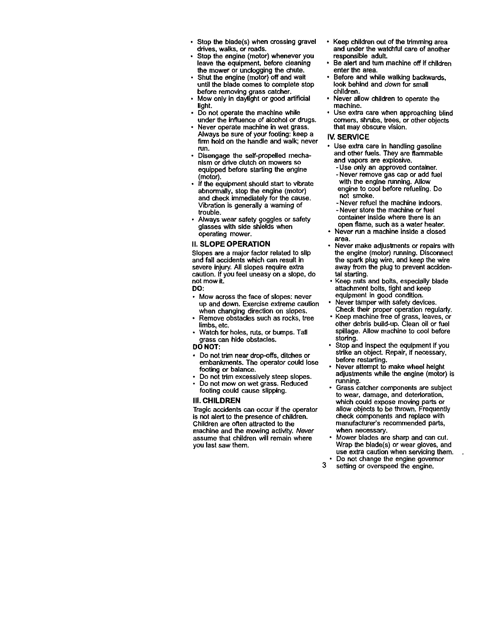- **• Stop the blade(s) when crossing gravel ddves, walks, or roads.**
- **• Stop the engine (motor) whenever you leave the equipment, before cleaning the mower or uncloggingthe chute.**
- **• Shut the engine (motor) off and wait untilthe blade comes to complete stop before removing grass catcher.**
- **Mow only in daylight or good artificial light.**
- **• Do not operate** the **machine while under the influence of alcohol or drugs.**
- **• Never operate machine in wet grass. Always be sure of your** footing: **keep a firm hold on the handle and walk; never** run.
- **Disengage the self-propelled** mecha**nism or drive clutch on mowers so equipped** before **starting the engine (motor).**
- **If the equipment should start to** vibrate **abnormally, stop the engine (motor) and** check **immediately** for **the cause. Vibration is generally a warning of trouble.**
- **Always wear safety goggles or safety glasses with side shields** when **operating mower.**

#### **I1.SLOPE OPERATION**

**Slopes are a major factor related to slip and** fall **accidents which** can **result in severe injury.All slopes require extra caution. If you** feel **uneasy on a slope, do not** mow **it.**

**DO:**

- **• Mow across the** face **of slopes: never up** and **down. Exercise extreme** caution **when changing directionon slopes.**
- **Remove obstacles such as rocks, tree limbs, etc,**
- **Watch for holes,** ruts, **or bumps. Tall grass** can **hide obstacles.**

#### **DO** NOT:

- $P$  **Do** not trim near drop-offs, ditches or **embankments. The** operator **could lose** footing **or balance.**
- **Do not trim excessively steep slopes.**
- **Do not mow on wet grass. Reduced footing could cause slipping.**

#### **III. CHILDREN**

**Tragic accidents** can **occur if the operator is not alert to the presence of children. Children are often attracted to the machine and the mowing activity. Never assume that children will remain where you last saw them.**

- **Keep children out of the trimmingarea and under the watchful** care **of another responsible adult.**
- **Be alert and turn** machine **off if children enter the area.**
- **Before and while walking backwards, look behind and down** for **small children.**
- **Never allow children to operate the machine.**
- **Use extra** care when **approaching blind comers,** shrubs, **trees, or other objects that may obscure vision.**

#### **IV. SERVICE**

- **Use extra** care **in handling gasoline and other** fuels. **They are** flammable **and vapors are explosive.**
	- **-Use only an approved container. - Never remove gas** cap **or add** fuel
	- **with the engine running. Allow engine to cool before refueling. Do not smoke.**
	- **- Never refuel the machine indoors. - Never store the machine or** fuel **container inside where there is an**
- **open** flame, **such as a water heater.** • **Never** run **a machine inside a dosed area.**
- **Never make adjustments or repairs with the engine (motor) running. Disconnect the spark plugwire, and keep the wire away** from **the plug to prevent accidental starting.**
- **Keep nuts and bolts, especially blade attachment bolts, tight** and **keep equipment in good** condition.
- **Never tamper with safety devices. Check their proper operation regulady.**
- **Keep machine free of grass, leaves, or other** debris **build-up. Clean oil or** fuel **spillage. Allow machine to cool** before storing.
- **Stop and inspect the equipment ifyou**  $strike$  an object. Repair, if necessary, before **restarting.**
- **Never attempt to make wheel height adjustments** while **the engine (motor) is running.**
- **Grass** catcher components **are subject to wear, damage, and deterioration, which could expose moving parts or allow objects to be thrown. Frequently check** components **and replace with manufacturer's recommended parts, when necessary.**
- **Mower blades are sharp and** can **cut. Wrap** the **blade(s) or wear gloves, and use extra caution when servicing**them.
- **Do not** change **the engine governor**
- **3 setting or overspeed the engine.**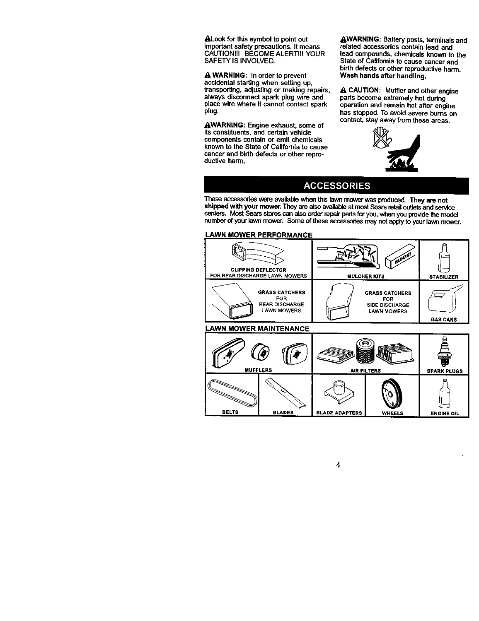&Lookfor **this symbol to point** out **importantsafety precautions. It means CAUTIONI!! BECOMEALERT!\_! YOUR SAFETY IS iNVOLVED.**

A **WARNING: In order to prevent accidental starting when setting up, transpor'dng,adjusting or making repairs, always disconnect spark plug wire and place wire where it cannot contact spark plug.**

**,&WARNING'. Engine exhaust, some of its constituents, and certain vehicle components contain or emit chemicals known to the State of California to cause** cancer **and birth defects or other reproductive harm.**

,&WARNING: **Battery posts, terminals and related accessories contain lead and lead** oumpounds, **chemicals known to the State of California to cause** cancer **and birth defects or other repmducf\_veharm. Wash hands after handling.**

,&CAUTION: **Muffler and other engine**  $\overline{p}$  parts become extremely hot during **operation and remain hot after engine has stopped, To avoid severe burns on contact, stay away** from **these areas.**



## **ACCESSORIES**

**These accessorieswere available**when this **lawnrnowerwas produced. They are not shipped wRhyour mower, They are alsoavailableat mostSears retailoutletsand service** centers. Most Sears stores can also order repair parts for you, when you provide the model  $n$  **number** of your lawn mower. Some of these accessories may not apply to your lawn mower.

#### **LAWN MOWER PERFORMANCE**

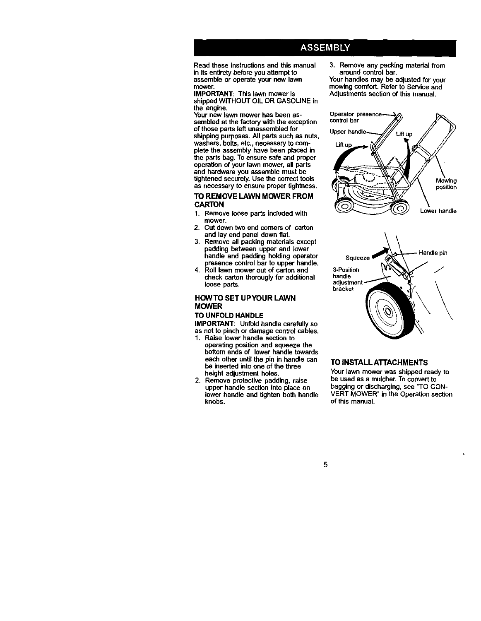## **ASSEMBLY**

**Read these instructions and this manual in its entiretybefore you attempt to assemble or operate your new lawn mower.**

**IMPORTANT: This lawn mower is shipped WITHOUT OIL OR GASOLINE in the engine.**

**Your now lawn mower has been as- Operator sembled at the factory with the exception conk-olbar of** those **parts left unassembled** for **shipping purposes. All parts such as nuts, washers, bolts, etc., necessary to corn- Lift plete the assembly have been placed in the parts bag. To ensure safe and proper operation of your lawn ntower, all parts and hardware you assemble must be tightened securely. Use the correct tools as necessary to ensure proper tightness.**

#### **TO REMOVE LAWN MOWER FROM CARTON**

- **1. Remove loose parts included with mower.**
- **2. Cut down two end comers of carton and lay end panel down fiat.**
- **3. Remove all packing** materials **except padding** between **upper and lower handle and padding holding operator presence control bar to upper handle.**
- **4. Roll lawn mower out of carton and 3-Position check** carton thorougly for additional **handle**<br>loose parts **loose parts.**

#### **HOWTO SET UPYOUR** LAWN **MOWER**

## **TO UNFOLD HANDLE**

**IMPORTANT: Unfold handle carefully so as not to pinch or damage control cables.**

- **1. Raise lower handle section to operating position and squeeze the bottom ends of lower handle towards each other until the pin in handle can** be **inserted into one of** the **three height adjustment holes.**
- **2. Remove protective padding, raise upper handle section into place on lower handle and tighten both handle knobs.**

3. Remove any packing material from **around control bar.**

**Your handles may be adjusted for your mowing comfort. Refer to Service and Adjustments section of this manual.**





#### **TO** INSTALL **ATTACHMENTS**

**Your lawn mower was shipped ready to be** used as a mulcher. To convert to bagging or discharging, see "TO CON-**VERT MOWER" in the Operation section of this manual.**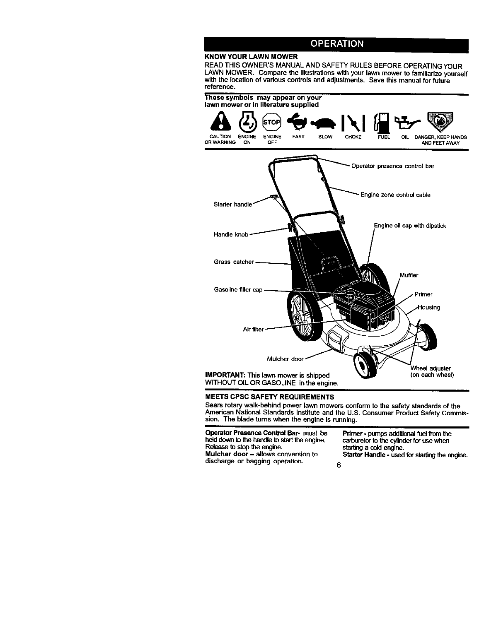## **OPERATION**

## **KNOW YOUR LAWN MOWER**

READ THIS OWNER'S MANUAL AND SAFETY RULES BEFORE OPERATING YOUR LAWN MOWER. Compare the illustrations with your lawn mower to familiarize yoursel<br>with the location of various controls and adjustments. Save this manual for future **reference.**



#### **MEETS CPSC** SAFETY **REQUIREMENTS**

**Sears rotary walk-behind power lawn mowers conform to the safety standards of the** American National Standards Institute and the U.S. Consumer Product Safety Commis**sion, The blade turns when the engine is running.**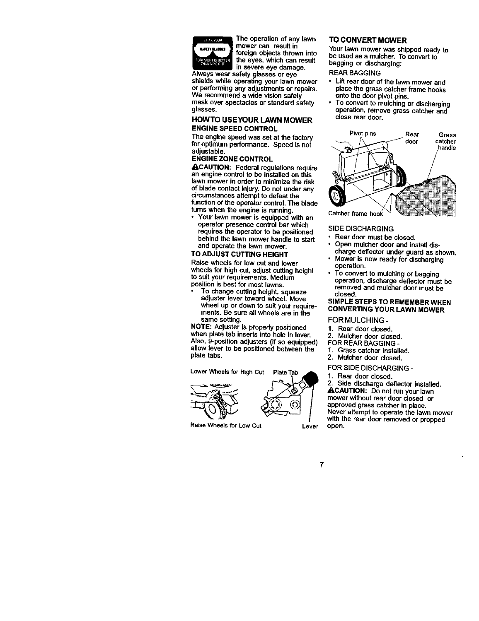

The operation of any lawn surry quesses mower can result in foreign objects thrown into

in severe eye damage. Always wear safety glasses or eve shields while operating your lawn mower or performing any adjustments or repairs. **We recommend a wide vision safety mask over spectacles** or **standard safety** glasses.

#### **HOWTO USEYOUR LAWN MOWER ENGINE SPEED CONTROL**

**The engine speed was set at** the factory **for optimum performance. Speed** is **not ENGINE ZONE CONTROL**

• **I,CAUTION: Federal regulations require an engine** control **to** be **installed on** this lawn mower in order to minimize the risk of blade contact injury. **Do** not under any circumstances attempt to defeat the **function of** the **operator control. The blade rums when the engine** Is **running.**

• **Your lawn mower is equipped with an operator presence** control **bar which requires** the **operator** to **be positioned behind the lawn mower handle to start and operate the lawn mower.**

#### **TO ADJUST CUTTING HEIGHT**

**Raise wheels for low cut** and **lower wheels for high cut, adjust cutting height operation. to suityour requirements. Medium** position **is best** for **most lawns.**

**To change cutting height, squeeze closed. adjuster lever toward wheel. Move wheel up or down to suit your requirements.** Be **sure all wheels are in the same setting.**

NOTE: Adjuster is propedy positioned when plate tab inserts into hole in lever. Also, 9-pesition adjusters (if so **equipped)** allow **lever to be positioned between** the plate tabs.

Lower Wheels for High Cut



**Raise Wheels for Low Cut** 

### **TO CONVERT MOWER**

Your **lawn mower was shipped ready to be used as a mulcher. To** convert **to bagging or discharging:**

## **REAR BAGGING**

- **• Lift rear door** of **the** lawn **mower and place the** grass catcher **frame hooks onto the door pivot pins.**
- **To convert to mulching or discharging operation, remove grass catcher and close rear door.**



#### **SIDE DISCHARGING**

- **• Rear door must be closed.**
- **Open mulcher door and installdis-**
- **charge deflector under guard as shown**
- **Mower is now ready for discharging** operation.
- **To convert to mulching or bagging operation, discharge deflector must be removed and** melcher **door must be SIMPLE STEPS TO REMEMBERWHEN**

## **CONVERTING YOUR LAWN MOWER**

- FORMULCHING-
- **1.** Rear **door** closed.
- **2.** Mulcher **door closed.**
- **FOR** REAR BAGGING -
- 1. **Grass** catcher installed.
- **2. Mutcher door closed.**

FOR **SIDE DISCHARGING -**

Plate Tab 1. Rear door closed.

2. **Side discharge deflector installed.** \_,CAUTION: **Do not run** your **lawn mower without rear door closed or approved grass** catcher **in place. Never attempt to operate the lawn mower with the rear door** removed **or prepped** open.

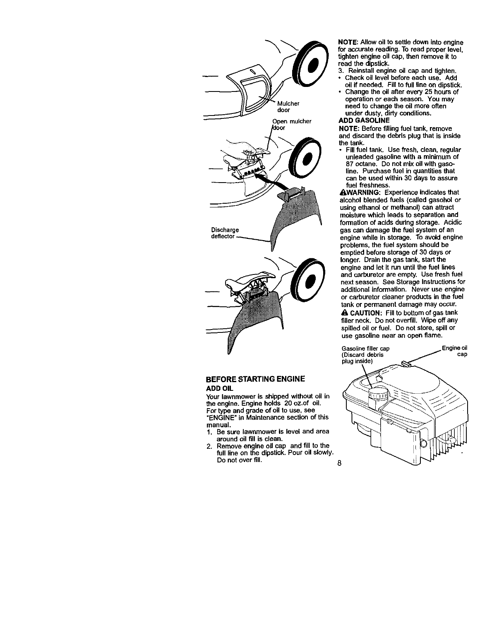

#### **BEFORE STARTING ENGINE ADD OIL**

**Your lawnmower is shipped without oil in** the **engine. Engine holds 20 oz.of oil, For type and grade of oil to use, see** "ENGINE" **in Maintenance section of this manual.**

- **1. Be sure lawnmower is level and area around oil fill is clean.**
- **2, Remove engine oil** cap **and fill to the** full **line on the dipstick, Pour oil slowly. Do not over fill, 8**

**NOTE: Allow oil to settle down into engine fur accurate reading. To read proper level, tighten engine oil cap, then remove it to read the dipstick.**

- **3. Reinstall engine oil cap and tighten. • Check oil level before each use. Add**
- **oil if needed. Fill to full line on dipstick.** • **Change the oil after every 25 hoursof**
- **operation or each season. You** may **need to change the oil** more **often under dusty, dirty conditions.**

## **ADD GASOLINE**

NOTE: **Before fillingfuel tank, remove** and **discard the debris plugthat is inside the tank.**

**• Fill fuel tank. Use** fresh, **clean, regular unleaded gasoline with** a **minimum of 87 octane. Do not mix** oil **withgasoline. Purchase fuel in quantities** that **can** be **used within 30 days to assure** fuel freshness.

**A.WARNING:** Experience **indicates that alcohol blended** fuels **(called gasohol or using ethanol or methanol) can attract moisture which leads to separation and** formation **of acids duringstorage. Acidic gas can damage the** fuel **system of an engine while in storage. To avoid engine problems, the fuel system should be emptied before storage of 30 days or longer. Drain the gas tank, start the engine and let it run untilthe fuel lines and** carburetor **are empty. Use** fresh **fuel next season. See Storage Instructions**for **additional information. Never use engine or carburetor cleaner products in the** fuel **tank or permanent damage** may **occur.**

\_, **CAUTION: Fill to bottomof gas tank filler neck. Do not ovenlll. Wipe off any spilled oil or fuel. Do not store, spill or use gasoline near an open flame.**

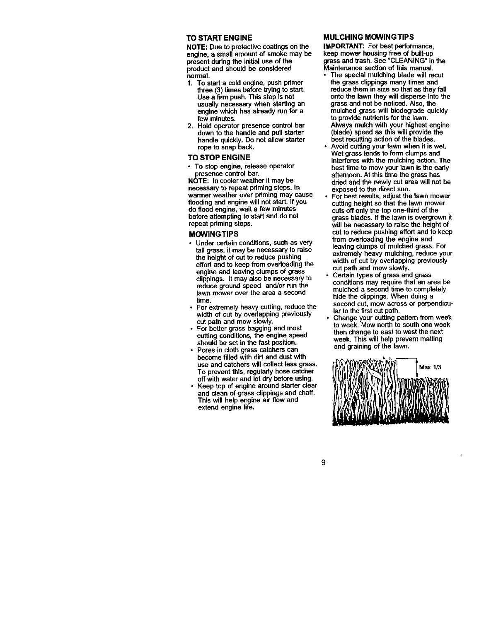#### **TO START ENGINE**

**NOTE: Due to protective coatingson the engine, a small amount of smoke may be present during the initialuse of the product and should be considered normal.**

- **1. To start a** cold **engine, push primer three (3) times before trying to start. Use a firm push. This step is not usually necessary when starting an engine** which **has already run for a few minutes.**
- **2. Hold operator presence control bar down to** the **handle and pull starter handle quickly. Do not allow starter rope to snap back.**

#### **TO STOP ENGINE**

• **To stop engine, release operator presence control bar.**

**NOTE:** ta **cooler weather it** may **be necessary to repeat priming** steps. **In warmer weather over pdming** may **cause flooding and engine will not start. If you do flood engine, wait a few minutes before attempting to start and do not repeat priming steps.**

#### **MOWINGTIPS**

- **• Under certain conditions, such as very tall grass,** it may **be necessary to raise the height of cut to** mduca **pushing effort and to keep** from **overloading the engine and leaving clumps of grass clippings. It may also be necessary** to **reduce ground speed and/or** run **the** lawn **mower over the area a second time.**
- **For extremely heavy cutting, reduce the width of cut by overlapping previously cut path and** mow **slowly.**
- **For better grass bagging and most cutting conditions, the engine speed should** be **set in** the **fast position.**
- **Pores in cloth grass catchers can become filled with dirt and dust with use and catchers willcollect less grass. To prevent this, regularly hose catcher off withwater and let dry before using.**
- **Keep top of engine around starter clear and clean of grass clippings and chaff. This will help engine air flow and extend engine life.**

#### **MULCHING MOWINGTIPS**

**IMPORTANT: For best performance, keep mower housing free of built-up grass and trash, See** "CLEANING" **inthe Maintenance section of this manual.**

- **The special mulching blade will recur the grass clippingsmany times** and **reduce them in size so that as they fall onto the lawn they will disperse into the grass and not be noticed. Also,** the **mulched grass will biodegrade quickly to provide nutrientsfor the lawn. Always mulch with your highest engine (blade) speed as this will provide the best recuttingaction of** the **blades.**
- **Avoid cutting your lawn when it is wet. Wet grass tends to form clumps and interferes with the mulching action, The best time to** mow **your lawn is the eady afternoon. At this** time **the grass has dded and the newly cut area will not be exposed to the direct sun.**
- **For** best **results, adjust the lawn mower cutting height so that the lawn mower cuts off only the top one-third of the grass blades. If** the **lawn is overgrown it will** be **necessary to raise** the **height of cut to reduce pushing effort and to keep from overloading the engine and leaving dumps of** mulched **grass. For extremely heavy mulching, reduce your width of cut by overlapping previously cut path and mow slowly.**
- **Certain types of grass and grass conditions may require that an area be mulched** a **second time to** completely **hide the clippings,When doing a second cut,** mow **across or perpendicularto the firstcut path.**
- **Change your cutting pattern from week to week. Mow north to south one week then change to east to west the next week. This will help prevent matting and graining of the lawn,**



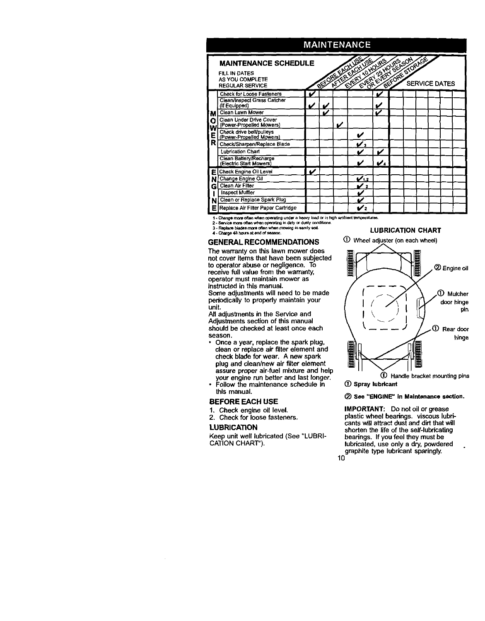

1 - Change more often when operating under a heavy bad or in high ambient temperatures.

2 - Service more often when operating in dirty or dusty conditions Replace blades more often when mowing in sandy soil.

4 - Charge 48 hours at end of seasor

#### **GENERAL RECOMMENDATIONS**

The warranty on this lawn mower does not cover items that have been subjected to operator abuse or negligence. To receive full value from the warranty, operator must maintain mower as instructed in this manual.

Some adjustments will need to be made periodically to properly maintain your .<br>unit.

All adjustments in the Service and Adjustments section of this manual should be checked at least once each season.

- . Once a year, replace the spark plug, clean or replace air filter element and check blade for wear. A new spark plug and clean/new air filter element assure proper air-fuel mixture and help
- your engine run better and last longer.<br>Follow the maintenance schedule in this manual.

#### **BEFORE EACH USE**

- $1.$ Check engine oil level.
- 2. Check for loose fasteners.

#### **LUBRICATION**

Keep unit well lubricated (See "LUBRI-CATION CHART").





1 Spray lubricant

#### 2 See "ENGINE" in Maintenance section.

IMPORTANT: Do not oil or grease plastic wheel bearings. viscous lubricants will attract dust and dirt that will shorten the life of the self-lubricating bearings. If you feel they must be lubricated, use only a dry, powdered graphite type lubricant sparingly.  $10$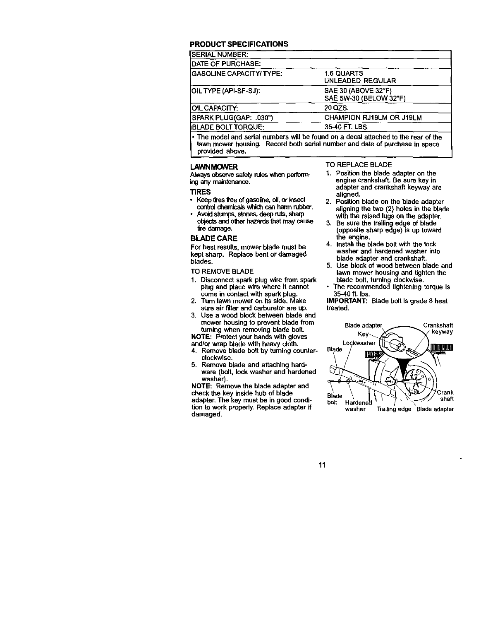#### **PRODUCT SPECIFICATIONS**

| <b>SERIAL NUMBER:</b>            |                                               |
|----------------------------------|-----------------------------------------------|
| <b>DATE OF PURCHASE:</b>         |                                               |
| <b>IGASOLINE CAPACITY/ TYPE:</b> | <b>1.6 QUARTS</b><br><b>UNLEADED REGULAR</b>  |
| OIL TYPE (API-SF-SJ):            | SAE 30 (ABOVE 32°F)<br>SAE 5W-30 (BELOW 32°F) |
| <b>OIL CAPACITY:</b>             | 20 QZS.                                       |
| SPARK PLUG(GAP: .030")           | CHAMPION RJ19LM OR J19LM                      |
| <b>BLADE BOLT TORQUE:</b>        | 35-40 FT. LBS.                                |
|                                  |                                               |

**The** model **and** sadal numbers **will be** found **on a decal attached to the rear of the lawn** mower **housing, Record both sedal** number **and date of purchase in space provided above.**

#### **LAWNMOWER**

Always observe safety rules when perform**ing**any **maintenance.**

#### **TIRES**

- **•** Keeptiresfree**ofgasallee,oil,orinsect** control chemicals which can harm rubber.
- **Avoid stumps, stones, deep ruts, sharp objectsandotherhazards**\_ **maycause** tire damage.

#### **BLADE CARE**

**For bestresults,mowerblade**must **be kept sharp.** Replace bent or damaged blades.

**TO REMOVE** BLADE

- 1. Disconnect spark plug wire from spark plug and place wire where it cannot **come** in contact **with spark** plug.
- 2. Turn lawn mower **on** its **side.** Make sure **air** filter **and** carburetor **are** up.
- 3. Use a wood block between blade and mower housing to **prevent** blade from turning when removing **blade bolt.**

**NOTE:** Protect your hands with gloves and/or wrap blade with heavy cloth.<br>4. Remove blade bolt by turning co

- Remove blade bolt by turning counter**clockwise.**
- **5. Remove blade and attaching hardware (bolt. lock washer and hardened washer).**

**NOTE: Remove the blade adapter and check the key inside hub of blade adapter. The key must** be **in good condition to work propedy. Replace adapter if damaged.**

#### **TO REPLACE BLADE**

- **1. Position** the **blade adapter on the engine crankshaft. Be sure key in adapter and crankshaft keyway** are **aligned.**
- **2. Position blade on the blade adapter** aligning the **two (2) holes in** the **blade with** the **raised lugs on** the **adapter.**
- **3. Be sure the trailing edge of blade (opposite sharp edge) is up toward the engine.**
- **4. Install the blade bolt** with **the lock washer and hardened washer into blade adapter and crankshaft.**
- **5. Use** block **of wood** between **blade and lawn mower housing** and **tighten the blade bolt, turning clockwise.**
- **• The recommended tightening torque is** 35-40 ft. **Ibs.**

**IMPORTANT: Blade belt is grade 8 heat treated.**



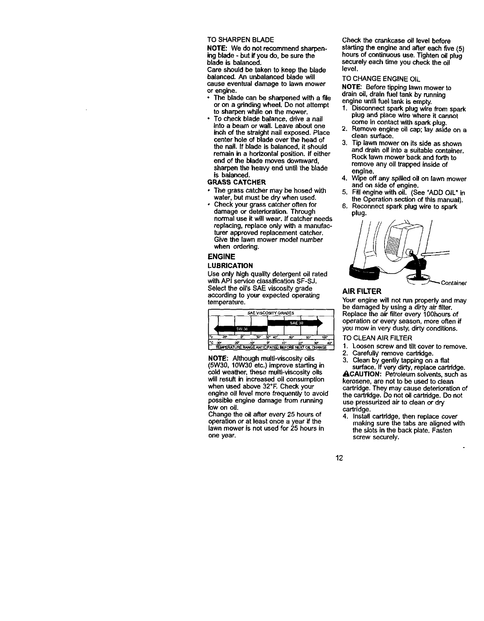TO **SHARPEN** BLADE

NOTE: **We do not recommend sharpening blade** - but **if you do, be sure the** blade **is balanced.**

**Care should be taken to keep the blade** balanced. **An unbalanced blade will cause eventual damage** to **lawn mower or engine.**

- **• The blade** can **be** sharpened **with a file or on a gdnding wheel. Do not attempt to sharpen while on the mower.**
- **• To check blade balance, drive a nail** into **a** beam **or wall. Leave about one inch of** the **straight nail exposed. Place center hole of blade over the head of** the **nail. If** blade **is balanced, it should remain in a horizontal position.** If **either end of** the **blade** moves **downward, sharpen the heavy end until the** blade **is balanced.**

#### **GRASS CATCHER**

- The **grass** catcher **may** be **hosed with water, but must** be **dry when used.**
- **Check your grass catcher often for damage or detedoration. Through normal use it willwear. If** catcher **needs replacing, replace only with a manufacturer approved replacement catcher. Give the lawn mower model number when ordering.**

#### **ENGINE**

#### **LUBRICATION**

**Use only high quality detergent oil** rated **withAPI service classificationSF-SJ.**  $S$ elect the oil's SAE viscosity grade **according to your expected operating temperature.**

|                    |            |   |     | <b>SAE VISCOSITY GRADES</b> |               |     |      |
|--------------------|------------|---|-----|-----------------------------|---------------|-----|------|
|                    |            |   |     |                             | <b>SAE 30</b> |     |      |
|                    | 5W-30      |   |     |                             |               |     |      |
|                    |            | w | 32" | 40°                         | 50*           | BO* | 100° |
| c<br>$-30^{\circ}$ | -20<br>-10 |   |     | 10 <sup>o</sup>             |               | 30° | 40°  |

NOTE: Although **multi-viscesityoils (5W30, 10W30 etc.) improve starting in cold weather,** these **muifi-viscesity oils** will **result in increased oil consumption when used above 32°F.** Check your **engine oil level more** frequently **to avoid possible engine damage** from **running low on oil.**

**Change the oil after every** 25 **hours of operation or at least once a year if the lawn mower is not used** for **25 hours in one year.**

Check **the crankcase oil** level **before starting the engine and after each five (5) hours of continuous use. Tighten oil plug securely each time you check the oil level.**

#### **TO** CHANGE **ENGINE** OIL

NOTE: **Before** tipping **lawn** mower to drain **oil,** drain fuel tank by **running engine until fuel tank is empty.**

- **1. Disconnect spark plug wire** from **spark plug and place wire** whore **it** cannot **come in contact with spark plug.**
- 2. Remove **engine oil** cap; **lay aside on** a **clean surface,**
- **3. Tip** lawn **mower on its side as shown and drain oil into a suitable container. Rock** lawn **mower back and forth to remove any oil trapped inside of engine.**
- **4.** Wipe **off any spilled oil on** lawn **mower and on side of** engine.
- **5. Fill engine** with **oil. (See** =ADD **OIL" in the** Operation **section of this manual}.**
- **6. Reconnect spark plug wire to spark plug,**



#### **AIR FILTER**

**Your engine will not run properly and** may **be damaged by using a dirty air filter. Replace the air filter every 100hours** of **operation or** every **season, more often** if you mow in very dusty, dirty conditions.

TO CLEAN AIR FILTER

- **1.** Loosen **screw** and tilt **cover** to remove.
- 2. Carefully remove cartridge.<br>3. Clean by gently tapping on
- 3. Clean by gently tapping on **a** flat

surface. If very dirty, replace cartridge. ACAUTION: Petroleum solvents, such as kerosene, are not to be used to **clean** cartridge. They may cause deterioration of the cartridge. Do not oil cartridge. Do **not** use pressurized air to clean or dry cartridge.

4. Install **cartddge,** then replace **cover** making sure **the** tabs are **aligned** with the slots in the back **plate.** Fasten **screw securely.**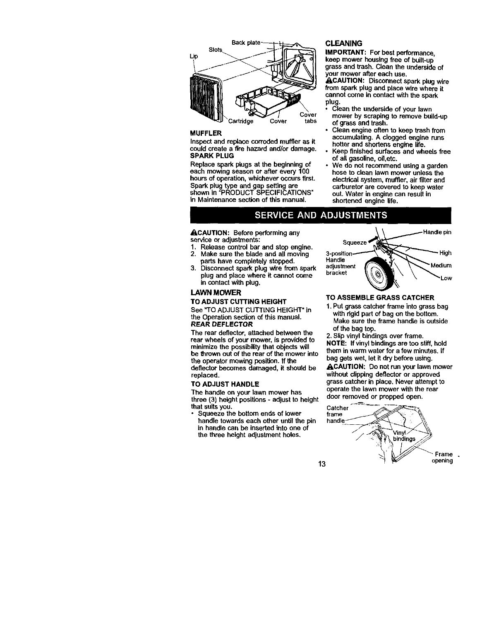

#### **MUFFLER**

**Inspect and replace corroded** muffler **as it could create** a fire **hazard and/or damage. SPARK PLUG**

**Replace spark plugs at the beginning of each mowing season or a\_er every 100 hours of operation, whichever occurs first. Spark plug type and gap setting are shown in** "PRODUCT **SPECIFICATIONS" in Maintenance section of this manual.**

#### **CLEANING**

**IMPORTANT: For best performance, keep mower housing free of built-up grass and trash. Clean the underside of your mower after each use. ACAUTION:** Disconnect spark plug wire **from spark plug and place wire where it cannot come in** contact with **the spark plug.**

- **• Clean the underside of your lawn mower by scraping to remove build-up of grass and trash.**
- **• Clean engine often to keep trash from accumulating. A clogged engine runs hotter and shortens engine life.**
- **Keep finished surfaces** and **wheels free of all gasoline, oil,etc.**
- **We do not recommend using a garden hose to clean** lawn **mower unless the electrical system,** muffler, **air** filter **and carburetor** are covered **to keep water out. Water in engine can resultin shortened** engine **life.**

## **SERVICE AND ADJUSTMENTS**

\_.CAUTION: Before **performing any service or adjustments:**

- **1. Release control bar and stop engine.**
- **2. Make sure the** blade **and all moving parts have completely stopped.**
- **3. Disconnect spark plug wire** from **spark plug and place where it cannot come in** contact **with plug,**

#### **LAWN MOWER**

#### **TO ADJUST CUTTING HEIGHT**

**See** "TO ADJUST **CUTTING HEIGHT" in the** Operation **section of this manual. REAR DEFLECTOR**

**The rear deflector, attached between the rear wheels of your mower, is provided to minimize the possibility**that **objects will be thrown out of the rear of the mower into the operator mewing position. If** the **deflector** becomes **damaged, it should be replaced.**

#### **TO ADJUST HANDLE**

**The handle on your lawn mower has three (3) height positions** - **adjust to height that suitsyou.**

**• Squeeze the bottom ends of** lower **handle towards each other until the pin in handle** can **be inserted** into **one** of **the three height adjustment holes,**



#### **TO ASSEMBLE GRASS CATCHER**

**1, Put grass catcherframe into grass bag with rigidpart of bag on the bottom, Make sure the frame handle is outside of the bag top.**

**2, Slip vinyl bindings over frame,**

**NOTE: If vinyl bindingsare too stiff,hold them inwarm water for a few minutes,**If **bag gets wet, let it dry before using.**

ACAUTION: **Do not run your lawn mower without clipping deflector or approved grass catcherin place, Never attempt to operate the lawn mower with the rear door removed or propped open.**

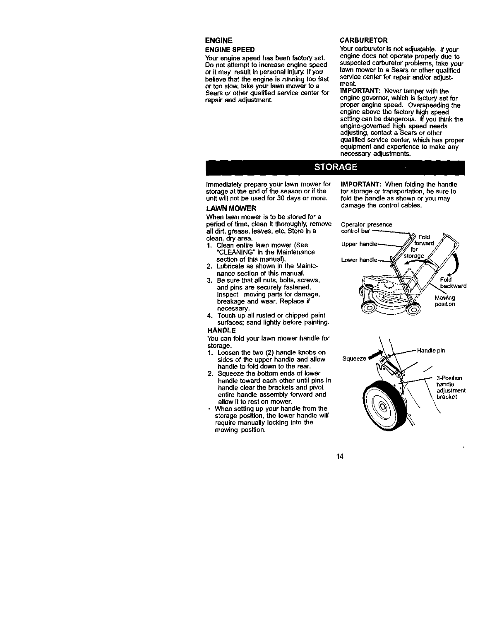#### ENGINE **ENGINE SPEED**

Your engine speed has been factory set. Do **not attempt to increase engine speed or it may result in personal injury.If you believe that the engine is running too fast or too slow,take your lawn mower to a Sears or other qualified service center** for **repair and adjustment.**

#### **CARBURETOR**

**Yourcarburetor is not adjustable. If your engine does not operate propedy due to suspected carburetor problems, take your lawn mower to a Sears or other qualified service center for repair and/or adjustment.**

**IMPORTANT:** Never tamper with the **engine governor,which is** factory **set** for **proper engine speed. Overspeeding the engine above** the **factory high speed setting** can **be dangerous. Ifyou think the engine-govereed high speed needs adjusting, contact a Sears or other qualified service center, which has proper equipment and axbedence to make any necessary adjustments.**

**IMPORTANT: When** folding **the handle** for **storage or transportation, be sure to** fold **the handle as shown or you** may **damage the control**cables.

## **STORAGE**

**Immediately prepare your lawn mower for storage at** the **end of the season or ifthe unit will not be used** for **30 days or more.**

#### **LAWN MOWER**

**When lawn mower is to** be **stored** for **a period of time, clean it thoroughly,remove all did, grease, leaves, etc. Store in a clean, dry area.**

- **1. Clean entire lawn mower (See** "CLEANING" **in the Maintenance section of this manual).**
- 2. Lubricate as shown in the Mainte**nance section of this manual.**
- **3. Be sure that all nuts, bolts, screws, and pins** are **securely** fastened. **Inspect moving parts** for **damage, breakage and wear. Replace if necessary.**
- **4. Touch up all rusted or chipped paint surfaces; sand lightly before painting.**

#### **HANDLE**

**You can fold your lawn mower handle** for **storage.**

- **1. Loosen** the **two (2) handle knobs on sides of the upper handle and allow handle to** fold **down to** the **rear.**
- **2. Squeeze the bottom ends of lower handle toward each other until pins in handle clear the brackets and pivot entire handle assembly forward** and **allow it to rest on mower.**
- **• When setting up your handle** from **the storage position,** the **lower handle will require manually locking into the mowing position.**



\_,7\_,a **ckward**

**Mowing**<br>position **position**



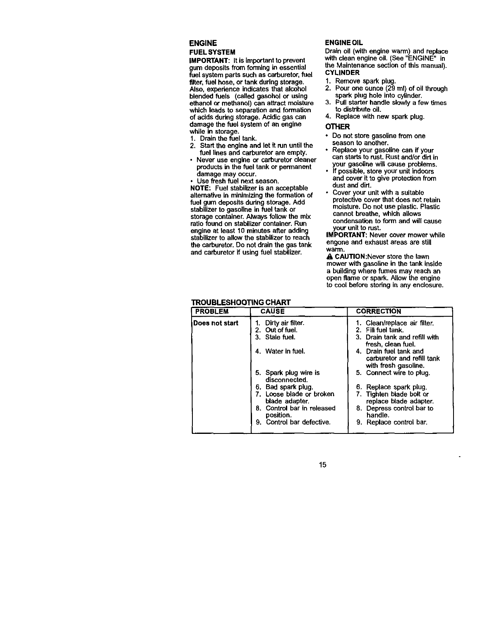#### **ENGINE FUEL SYSTEM**

**iMPORTANT: It is important**to **prevent gum deposits** from **forming in essential fuel system parts such as carburetor,**fuel **filter, fuel hose, or tank during storage. Also, experience indicates that alcohol blended fuels (called gasohol or using ethanol or methanol)** can **attract moisture which leads to separation and formation of acids during storage. Acidic gas** can **damage the fuel system of an engine while in** storage.

- **1. Drain** the fuel **tank.**
- **2. Start the engine and let it run untilthe fuel lines and** carburetor **are empty,**
- **• Never use engine or** carburetor **cleaner products in the fuel tank or permanent damage** may **occur.**
- $Use$  **fresh** fuel next season.

**NOTE: Fuel stabilizer is an acceptable alternative in minimizingthe formation of** fuel gum deposits during storage. Add **stabilizerto gasoline in** fuel **tank or storage container. Always follow** the mix **ratio** found **on stabilizer container. Run engine at least 10** minutes **after adding stabilizer to allow the stabilizer to reach** the **carburetor.Do not drain the gas tank and carburetor if using fuel stabilizer.**

## **ENGINE OIL**

**Drain oil (with engine warm)** and **replace with clean engine oil. (See** "ENGINE" **in the Maintenance section of this** manual), **CYLINDER**

- **1. Remove spark** plug.
- **2.** Pour **one ounce (29** ml) **of oil through** spark **plug hole into cylinder.**
- **3. Pull starter handle slowly a few** times **to distribute oil.**
- **4. Replace with new spark plug.**

#### **OTHER**

- **• Do not store gasoline** from **one season to another.**
- **Replace your gasoline** can **if your** can **starts to rust. Rust and/or dirt in your gasoline will** cause **problems.**
- **• If possible, store your unit indoors and cover it to give protection**from **dustand dirt.**
- **Cover your unit with** a **suitable protective cover that does not retain moisture. Do not use plastic. Plastic cannot breathe, which allows condensation to form and will cause your unit to rust.**

**IMPORTANT: Never cover mower** while **engone and exhaust areas are still warm.**

\_. **CAUTION:Never store the lawn mower with gasoline in** the **tank inside a buildingwhere** fumes may **reach an open flame or spark. Allow the engine to cool before storing in any enclosure.**

## **TROUBLESHOOTING CHART**

| <b>PROBLEM</b> | <b>CAUSE</b>                               | <b>CORRECTION</b>                                                            |
|----------------|--------------------------------------------|------------------------------------------------------------------------------|
| Does not start | Dirty air filter.                          | Clean/replace air filter.<br>1.                                              |
|                | Out of fuel.<br>2.                         | 2. Fill fuel tank.                                                           |
|                | Stale fuel.                                | 3. Drain tank and refill with<br>fresh, clean fuel.                          |
|                | 4. Water in fuel.                          | 4. Drain fuel tank and<br>carburetor and refill tank<br>with fresh gasoline. |
|                | 5. Spark plug wire is<br>disconnected.     | 5. Connect wire to plug.                                                     |
|                | Bad spark plug.<br>6.                      | 6. Replace spark plug.                                                       |
|                | 7. Loose blade or broken<br>blade adapter. | 7. Tighten blade bolt or<br>replace blade adapter.                           |
|                | 8. Control bar in released<br>position.    | 8. Depress control bar to<br>handle.                                         |
|                | 9. Control bar defective.                  | 9. Replace control bar.                                                      |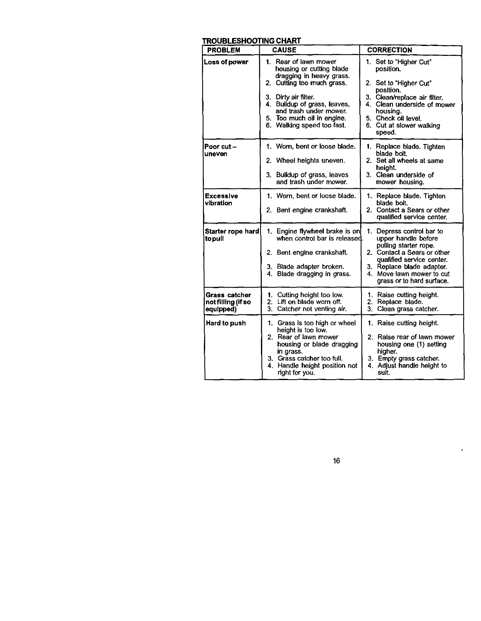## **TROUBLESHOOTING CHART**

| <b>PROBLEM</b>                                   | <b>CAUSE</b>                                                                                                                                                                                                                                              | <b>CORRECTION</b>                                                                                                                                                                                                            |
|--------------------------------------------------|-----------------------------------------------------------------------------------------------------------------------------------------------------------------------------------------------------------------------------------------------------------|------------------------------------------------------------------------------------------------------------------------------------------------------------------------------------------------------------------------------|
| Loss of power                                    | 1. Rear of lawn mower<br>housing or cutting blade<br>dragging in heavy grass.<br>2. Cutting too much grass.<br>3. Dirty air filter.<br>4. Buildup of grass, leaves,<br>and trash under mower.<br>5. Too much oil in engine.<br>6. Walking speed too fast. | 1. Set to "Higher Cut"<br>position.<br>2. Set to "Higher Cut"<br>position.<br>3. Clean/replace air filter.<br>4. Clean underside of mower<br>housing.<br>5. Check oil level.<br>6. Cut at slower walking<br>speed.           |
| Poor cut -<br>uneven                             | 1. Worn, bent or loose blade.<br>2. Wheel heights uneven.<br>3. Buildup of grass, leaves<br>and trash under mower.                                                                                                                                        | 1. Replace blade. Tighten<br>blade bolt.<br>2. Set all wheels at same<br>height.<br>3. Clean underside of<br>mower housing.                                                                                                  |
| <b>Excessive</b><br>vibration                    | 1. Worn, bent or loose blade.<br>2. Bent engine crankshaft.                                                                                                                                                                                               | 1. Replace blade. Tighten<br>blade bolt.<br>2. Contact a Sears or other<br>qualified service center.                                                                                                                         |
| Starter rope hard<br>topull                      | 1. Engine flywheel brake is on<br>when control bar is released.<br>2. Bent engine crankshaft.<br>3. Blade adapter broken.<br>4. Blade dragging in grass.                                                                                                  | 1. Depress control bar to<br>upper handle before<br>pulling starter rope.<br>2. Contact a Sears or other<br>qualified service center.<br>3. Replace blade adapter.<br>4. Move lawn mower to cut<br>grass or to hard surface. |
| Grass catcher<br>not filling (if so<br>equipped) | 1. Cutting height too low.<br>2. Lift on blade worn off.<br>3. Catcher not venting air.                                                                                                                                                                   | 1. Raise cutting height.<br>2. Replace blade.<br>3. Clean grass catcher.                                                                                                                                                     |
| Hard to push                                     | 1. Grass is too high or wheel<br>height is too low.<br>2. Rear of lawn mower<br>housing or blade dragging<br>in grass.<br>3. Grass catcher too full.<br>Handle height position not<br>4.<br>right for you.                                                | 1. Raise cutting height.<br>2. Raise rear of lawn mower<br>housing one (1) setting<br>higher.<br>3. Empty grass catcher.<br>4. Adjust handle height to<br>suit.                                                              |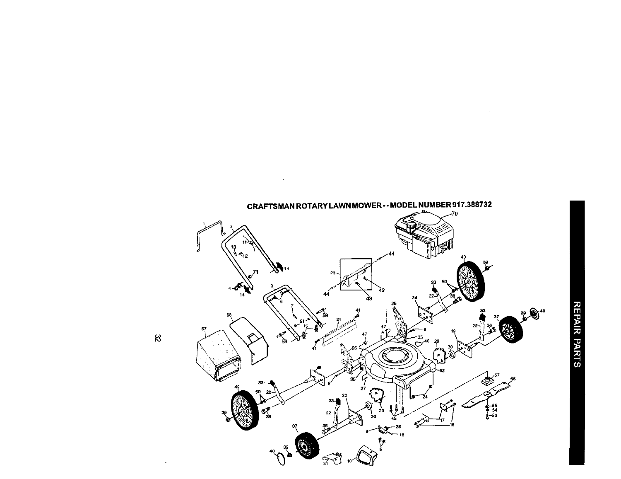

CRAFTSMAN ROTARY LAWN MOWER -- MODEL NUMBER 917.388732

 $\sim 10^7$ 

 $\infty$ 

 $\blacksquare$ 

 $\sim 10^6$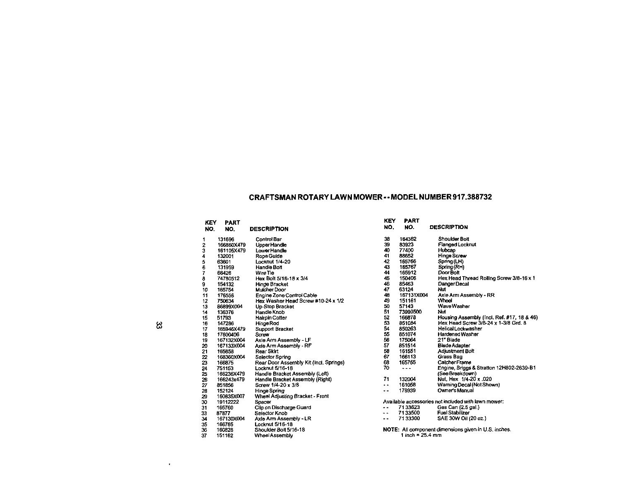## **CRAFTSMAN ROTARY LAWN MOWER-- MODEL NUMBER 917.388732**

| KEY<br>NO. | <b>PART</b><br>NO. | <b>DESCRIPTION</b>                     | <b>KEY</b><br>NO.        | <b>PART</b><br>NO.      |
|------------|--------------------|----------------------------------------|--------------------------|-------------------------|
| 1          | 131696             | Control Bar                            | 38                       | 164362                  |
| 2          | 166860X479         | Upper Handle                           | 39                       | 83923                   |
| 3          | 161105X479         | Lower Handle                           | 40                       | 77400                   |
| 4          | 132001             | Rope Guide                             | 41                       | 88652                   |
|            | 63601              | Locknut 1/4-20                         | 42                       | 165766                  |
| 567        | 131959             | Handle Bolt                            | 43                       | 165767                  |
|            | 66426              | Wire Tie                               | 44                       | 165912                  |
| 8          | 74780512           | Hex Bolt 5/16-18 x 3/4                 | 45                       | 150406                  |
| 9          | 154132             | Hinge Bracket                          | 46                       | 85463                   |
| 10         | 165754             | Mulcher Door                           | 47                       | 63124                   |
| 11         | 176556             | Engine Zone Control Cable              | 48                       | 167131X00               |
| 12         | 750634             | Hex Washer Head Screw #10-24 x 1/2     | 49                       | 151161                  |
| 13         | 86899X004          | Up-Stop Bracket                        | 50                       | 57143                   |
| 14         | 136376             | Handle Knob                            | 51                       | 73990500                |
| 15         | 51793              | <b>Hairpin Cotter</b>                  | 52                       | 166878                  |
| 16         | 147286             | Hinge Rod                              | 53                       | 851084                  |
| 17         | 165946X479         | <b>Support Bracket</b>                 | 54                       | 850263                  |
| 18         | 17600406           | Screw                                  | 55                       | 851074                  |
| 19         | 167132X004         | Axle Arm Assembly - LF                 | 56                       | 175064                  |
| 20         | 167133X004         | Axie Arm Assembly - RF                 | 57                       | 851514                  |
| 21         | 165858             | Rear Skirt                             | 56                       | 161551                  |
| 22         | 168360X004         | Selector Spring                        | 67                       | 166113                  |
| 23         | 166875             | Rear Door Assembly Kit (Incl. Springs) | 68                       | 165755                  |
| 24         | 751153             | Locknut 5/16-18                        | 70                       | $- - -$                 |
| 25         | 166236X479         | Handle Bracket Assembly (Left)         |                          |                         |
| 26         | 166243x479         | Handle Bracket Assembly (Right)        | 71                       | 132004                  |
| 27         | 851856             | Screw 1/4-20 x 3/8                     | $\ddot{\phantom{a}}$     | 161058                  |
| 28         | 152124             | Hinge Spring                           | . .                      | 178939                  |
| 29         | 160835X007         | Wheel Adjusting Bracket - Front        |                          |                         |
| 30         | 19112222           | Spacer                                 |                          | Available accessor      |
| 31         | 165760             | Cilp on Discharge Guard                | . .                      | 7133623                 |
| 33         | 87877              | Selector Knob                          | $\overline{\phantom{a}}$ | 7133500                 |
| 34         | 167130X004         | Axie Arm Assembly - LR                 |                          | 7133300                 |
| 35         | 166785             | Locknut 5/16-18                        |                          |                         |
| 36         | 160828             | Shoulder Bolt 5/16-18                  |                          | <b>NOTE: All compor</b> |
| 37         | 151162             | Wheel Assembly                         |                          | 1 inch = $25$           |

| NO.    | NO.        | <b>DESCRIPTION</b>                                  |
|--------|------------|-----------------------------------------------------|
| 38     | 164362     | <b>Shoulder Bolt</b>                                |
| 39     | 83923      | Flanged Locknut                                     |
| 40     | 77400      | Hubcap                                              |
| 41     | 88652      | <b>Hinge Screw</b>                                  |
| 42     | 165766     | Spring (LH)                                         |
| 43     | 165767     | Spring (RH)                                         |
| 44     | 165912     | Door Bolt                                           |
| 45     | 150406     | Hex Head Thread Rolling Screw 3/8-16 x 1            |
| 46     | 85463      | Danger Decal                                        |
| 47     | 63124      | Nut                                                 |
| 48     | 167131X004 | Axle Arm Assembly - RR                              |
| 49     | 151161     | Wheel                                               |
| 50     | 57143      | WaveWasher                                          |
| 51     | 73990500   | Nut                                                 |
| 52     | 166878     | Housing Assembly (Incl. Ref. #17, 18 & 46)          |
| 53     | 851084     | Hex Head Screw 3/8-24 x 1-3/8 Grd. 8                |
| 54     | 850263     | <b>Helical Lockwasher</b>                           |
| 55     | 851074     | Hardened Washer                                     |
| 56     | 175064     | 21" Blade                                           |
| 57     | 851514     | <b>Blade Adapter</b>                                |
| 58     | 161551     | Adjustment Bolt                                     |
| 67     | 166113     | Grass Bag                                           |
| 68     | 165755     | Catcher Frame                                       |
| 70     | ---        | Engine, Briggs & Stratton 12H802-2639-B1            |
|        |            | (See Breakdown)                                     |
| 71     | 132004     | Nut, Hex 1/4-20 x .020                              |
| . .    | 161058     | Warning Decal (Not Shown)                           |
| . .    | 178939     | Owner's Manual                                      |
|        |            | Available accessories not included with lawn mower: |
| . .    | 7133623    | Gas Can (2.5 gal.)                                  |
| $\sim$ | 7133500    | <b>Fuel Stabilizer</b>                              |
| . .    | 7133300    | SAE 30W Oil (20 oz.)                                |
|        |            |                                                     |

ಜ

 $\bullet$ 

**NOTE: All component dimensions given** in **U.S. inches. 1** inch **= 25.4 mm**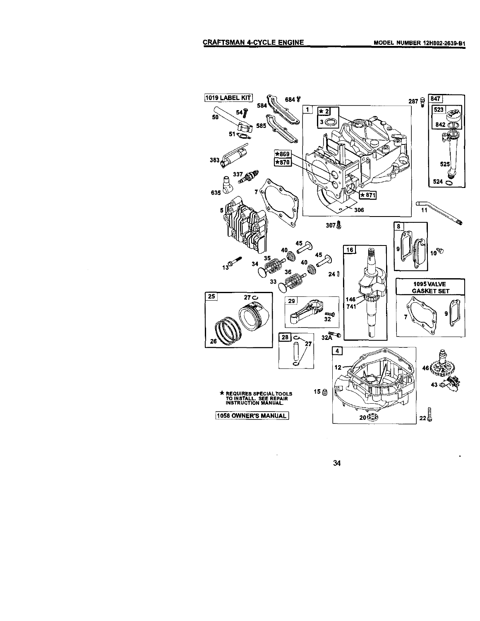

34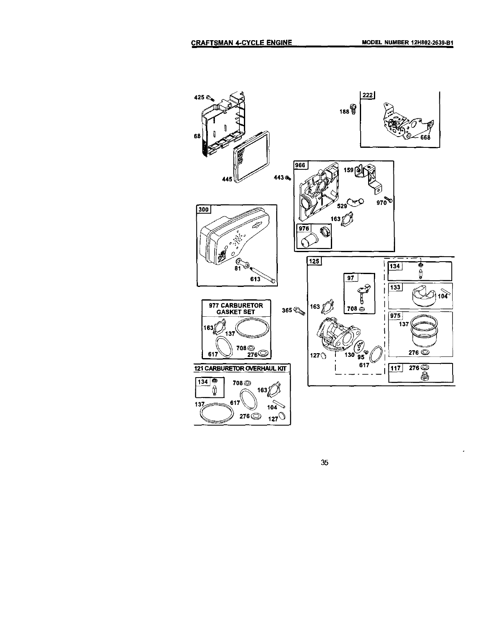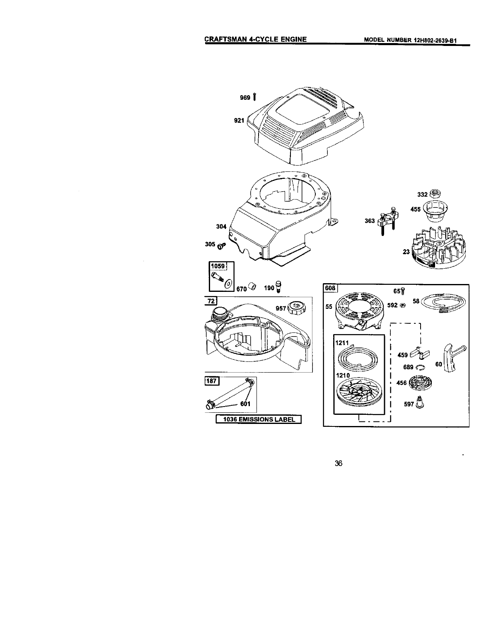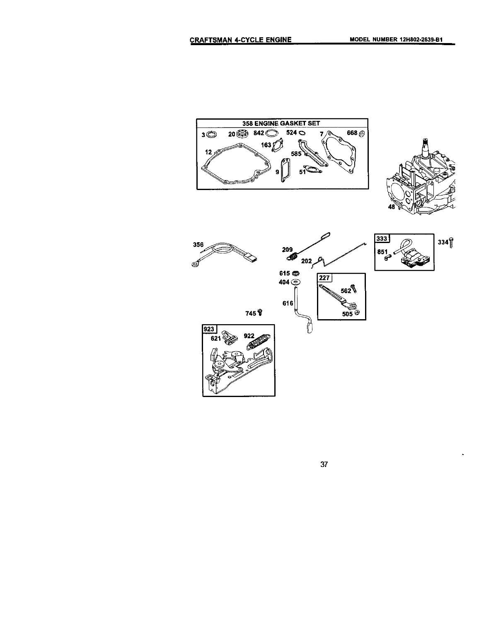



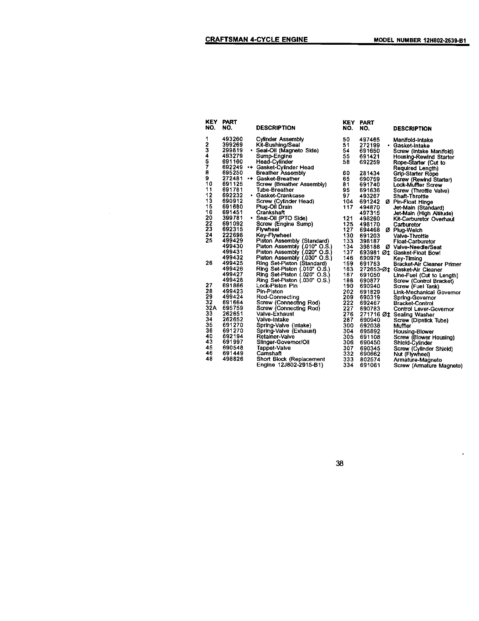| KEY.<br>NO.      | <b>PART</b><br>NO. | <b>DESCRIPTION</b>           | <b>KEY</b><br>NO. | <b>PART</b><br>NO. | <b>DESCRIPTION</b>             |
|------------------|--------------------|------------------------------|-------------------|--------------------|--------------------------------|
| 1                | 493260             | <b>Cylinder Assembly</b>     | 50                | 497465             | Manifold-Intake                |
| 2                | 399269             | Kit-Bushing/Seal             | 51                | 272199             | • Gasket-intake                |
|                  | 299819             | • Seal-Oil (Magneto Side)    | 54                | 691650             | Screw (intake Manifold)        |
|                  | 493279             | Sump-Engine                  | 55                | 691421             | <b>Housing-Rewind Starter</b>  |
| 3<br>4<br>5<br>7 | 691160             | <b>Head-Cylinder</b>         | 58                | 692259             | Rope-Starter (Cut to           |
|                  | 692249             | ++ Gasket-Cylinder Head      |                   |                    | Required Length)               |
| 8                | 695250             | Breather Assembly            | 60                | 281434             | <b>Grip-Starter Rope</b>       |
| 9                | 272481             | ** Gasket-Breather           | 65                | 690759             | Screw (Rewind Starter)         |
| 10               | 691125             | Screw (Breather Assembly)    | 81                | 691740             | Lock-Muffler Screw             |
| 11               | 691781             | Tube-Breather                | 95                | 691636             | Screw (Throttle Valve)         |
| 12               | 692232             | · Gasket-Crankcase           | 97                | 493267             | <b>Shaft-Throttle</b>          |
| 13               | 690912             | Screw (Cylinder Head)        | 104               |                    | 691242 Ø Pin-Float Hinge       |
| 15               | 691680             | Plug-Oil Drain               | 117               | 494870             | Jet-Main (Standard)            |
| 16               | 691451             | Crankshaft                   |                   | 497315             | Jet-Main (High Altitude)       |
| 20               | 399781             | • Seal-Oll (PTO Side)        | 121               | 498260             | <b>Kit-Carburetor Overhaul</b> |
| 22               | 691092             | Screw (Engine Sump)          | 125               | 498170             | Carburetor                     |
| 23               | 692315             | Flywheel                     | 127               | 694468             | Ø Plug-Welch                   |
| 24               | 222698             | Key-Flywheel                 | 130               | 691203             | Valve-Throttle                 |
| 25               | 499429             | Piston Assembly (Standard)   | 133               | 398187             | <b>Float-Carburetor</b>        |
|                  | 499430             | Piston Assembly (.010" O.S.) | 134               |                    | 398188 Ø Valve-Needle/Seat     |
|                  | 499431             | Piston Assembly (.020" O.S.) | 137               |                    | 693981 Øt Gasket-Float Bowl    |
|                  | 499432             | Piston Assembly (.030" O.S.) | 146               | 690979             | Key-Timing                     |
| 26               | 499425             | Ring Set-Piston (Standard)   | 159               | 691753             | Bracket-Air Cleaner Primer     |
|                  | 499426             | Ring Set-Piston (.010" O.S.) | 163               | 272653 Ø1          | Gasket-Air Cleaner             |
|                  | 499427             | Ring Set-Piston (.020" O.S.) | 187               | 691050             | Line-Fuel (Cut to Length)      |
|                  | 499428             | Ring Set-Piston (.030" O.S.) | 188               | 690877             | Screw (Control Bracket)        |
| 27               | 691866             | Lock-Piston Pln              | 190               | 690940             | Screw (Fuel Tank)              |
| 28               | 499423             | Pin-Piston                   | 202               | 691829             | Link-Mechanical Governor       |
| 29               | 499424             | Rod-Connecting               | 209               | 690319             | Spring-Governor                |
| 32               | 691664             | Screw (Connecting Rod)       | 222               | 692467             | <b>Bracket-Control</b>         |
| 32A              | 695759             | Screw (Connecting Rod)       | 227               | 690783             | Control Lever-Governor         |
| 33               | 262651             | <b>Valve-Exhaust</b>         | 276               |                    | 271716 Øt Sealing Washer       |
| 34               | 262652             | Valve-Intake                 | 287               | 690940             | Screw (Dipstick Tube)          |
| 35               | 691270             | Spring-Valve (Intake)        | 300               | 692038             | Muffler                        |
| 36               | 691270             | Spring-Valve (Exhaust)       | 304               | 695892             | Housing-Blower                 |
| 40               | 692194             | Retalner-Valve               | 305               | 691108             | Screw (Blower Housing)         |
| 43               | 691997             | Slinger-Governor/Oll         | 306               | 690450             | Shield-Cylinder                |
| 45               | 690548             | Tappet-Valve                 | 307               | 690345             | Screw (Cylinder Shield)        |
| 46               | 691449             | Camshaft                     | 332               | 690662             | Nut (Flywheel)                 |
| 48               | 498826             | Short Block (Replacement     | 333               | 802574             | Armature-Magneto               |
|                  |                    | Engine 12J802-2915-B1)       | 334               | 691061             | Screw (Armature Magneto)       |

l,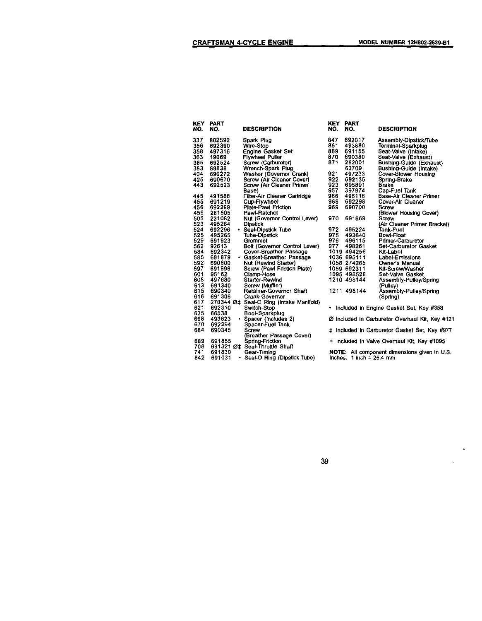$\blacksquare$ 

| NO.        | <b>KEY PART</b><br>NO. | <b>DESCRIPTION</b>                                    | NO. | KEY PART<br>NO.            | <b>DESCRIPTION</b>                                  |
|------------|------------------------|-------------------------------------------------------|-----|----------------------------|-----------------------------------------------------|
| 337        | 802592                 | Spark Plug                                            | 847 | 692017                     | Assembly-Dipstick/Tube                              |
| 356        | 692390                 | Wire-Stop                                             | 851 | 493880                     | Terminal-Sparkplug                                  |
| 358        | 497316                 | <b>Engine Gasket Set</b>                              | 869 | 691155                     | Seat-Valve (Intake)                                 |
| 363        | 19069                  | <b>Flywheel Puller</b>                                | 870 | 690380                     | Seat-Valve (Exhaust)                                |
| 365        | 692524                 | Screw (Carburetor)                                    | 871 | 262001                     | <b>Bushing-Guide (Exhaust)</b>                      |
| 383        | 89838                  | Wrench-Spark Plug                                     |     | 63709                      | Bushing-Guide (Intake)                              |
| 404        | 690272                 | Washer (Governor Crank)                               | 921 | 497233                     | Cover-Blower Housing                                |
| 425        | 690670                 | Screw (Air Cleaner Cover)                             | 922 | 692135                     | Spring-Brake                                        |
| 443        | 692523                 | Screw (Air Cleaner Primer                             | 923 | 695891                     | <b>Brake</b>                                        |
|            |                        | Base)                                                 | 957 | 397974                     | Cap-Fuel Tank                                       |
| 445        | 491588                 | Filter-Air Cleaner Cartridge                          | 966 | 496116                     | Base-Air Cleaner Primer                             |
| 455        | 691219                 | Cup-Flywheel                                          | 968 | 692298                     | Cover-Air Cleaner                                   |
| 456        | 692299                 | <b>Plate-Pawl Friction</b>                            | 969 | 690700                     | Screw                                               |
| 459        | 281505                 | Pawl-Ratchet                                          |     |                            | (Blower Housing Cover)                              |
| 505        | 231082                 | Nut (Governor Control Lever)                          | 970 | 691669                     | <b>Screw</b>                                        |
| 523        | 495264                 | <b>Dipstick</b>                                       |     |                            | (Air Cleaner Primer Bracket)                        |
| 524        | 692296                 | · Seal-Dipstick Tube                                  | 972 | 495224                     | Tank-Fuel                                           |
| 525        | 495265                 | <b>Tube-Dipstick</b>                                  | 975 | 493640                     | Bowl-Float                                          |
| 529        | 691923                 | Grommet                                               | 976 | 496115                     | Primer-Carburetor                                   |
| 562        | 92613                  | Bolt (Governor Control Lever)                         | 977 | 498261                     | <b>Set-Carburetor Gasket</b>                        |
| 584        | 692342                 | Cover-Breather Passage                                |     | 1019 494256                | Kit-Label                                           |
| 585        | 691879                 | • Gasket-Breather Passage                             |     | 1036 695111                | Label-Emissions                                     |
| 592        | 690800                 | Nut (Rewind Starter)                                  |     | 1058 274265                | Owner's Manual                                      |
| 597        | 691696                 | Screw (Pawl Friction Plate)                           |     | 1059 692311                | Kit-Screw/Washer                                    |
| 601        | 95162                  | Clamp-Hose                                            |     | 1095 498528                | Set-Valve Gasket                                    |
| 608        | 497680                 | Starter-Rewind                                        |     | 1210 498144                | Assembly-Pulley/Spring                              |
| 613        | 691340                 | Screw (Muffler)                                       |     |                            | (Pulley)                                            |
| 615<br>616 | 690340<br>691306       | Retainer-Governor Shaft                               |     | 1211 498144                | Assembly-Pulley/Spring                              |
| 617        |                        | Crank-Governor                                        |     |                            | (Spring)                                            |
| 621        | 692310                 | 270344 ؇ Seal-O Ring (intake Manifold)<br>Switch-Stop | ٠   |                            |                                                     |
| 635        | 66538                  | Boot-Sparkplug                                        |     |                            | Included in Engine Gasket Set, Key #358             |
| 668        | 493823                 | • Spacer (Includes 2)                                 |     |                            | Ø included in Carburetor Overhaul Kit, Key #12      |
| 670        | 692294                 | Spacer-Fuel Tank                                      |     |                            |                                                     |
| 684        | 690345                 | Screw                                                 | İ.  |                            | Included in Carburetor Gasket Set, Key #977         |
|            |                        | (Breather Passage Cover)                              |     |                            |                                                     |
| 689        | 691855                 | Spring-Friction                                       |     |                            | + Included in Valve Overhaul Kit, Key #1095         |
| 708        |                        | 691321 Øt Seal-Throttle Shaft                         |     |                            |                                                     |
| 741        | 691830                 | Gear-Timing                                           |     |                            | <b>NOTE:</b> All component dimensions given in U.S. |
| 842        | 691031                 | Seal-O Ring (Dipstick Tube)<br>٠                      |     | inches. $1$ inch = 25.4 mm |                                                     |